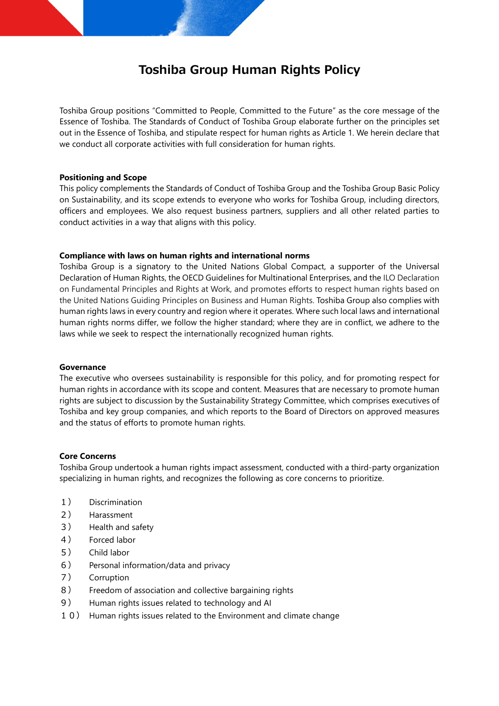# **Toshiba Group Human Rights Policy**

Toshiba Group positions "Committed to People, Committed to the Future" as the core message of the Essence of Toshiba. The Standards of Conduct of Toshiba Group elaborate further on the principles set out in the Essence of Toshiba, and stipulate respect for human rights as Article 1. We herein declare that we conduct all corporate activities with full consideration for human rights.

# **Positioning and Scope**

This policy complements the Standards of Conduct of Toshiba Group and the Toshiba Group Basic Policy on Sustainability, and its scope extends to everyone who works for Toshiba Group, including directors, officers and employees. We also request business partners, suppliers and all other related parties to conduct activities in a way that aligns with this policy.

# **Compliance with laws on human rights and international norms**

Toshiba Group is a signatory to the United Nations Global Compact, a supporter of the Universal Declaration of Human Rights, the OECD Guidelines for Multinational Enterprises, and the ILO Declaration on Fundamental Principles and Rights at Work, and promotes efforts to respect human rights based on the United Nations Guiding Principles on Business and Human Rights. Toshiba Group also complies with human rights laws in every country and region where it operates. Where such local laws and international human rights norms differ, we follow the higher standard; where they are in conflict, we adhere to the laws while we seek to respect the internationally recognized human rights.

#### **Governance**

The executive who oversees sustainability is responsible for this policy, and for promoting respect for human rights in accordance with its scope and content. Measures that are necessary to promote human rights are subject to discussion by the Sustainability Strategy Committee, which comprises executives of Toshiba and key group companies, and which reports to the Board of Directors on approved measures and the status of efforts to promote human rights.

# **Core Concerns**

Toshiba Group undertook a human rights impact assessment, conducted with a third-party organization specializing in human rights, and recognizes the following as core concerns to prioritize.

- 1) Discrimination
- 2) Harassment
- 3) Health and safety
- 4) Forced labor
- 5) Child labor
- 6) Personal information/data and privacy
- 7) Corruption
- 8) Freedom of association and collective bargaining rights
- 9) Human rights issues related to technology and AI
- 10) Human rights issues related to the Environment and climate change